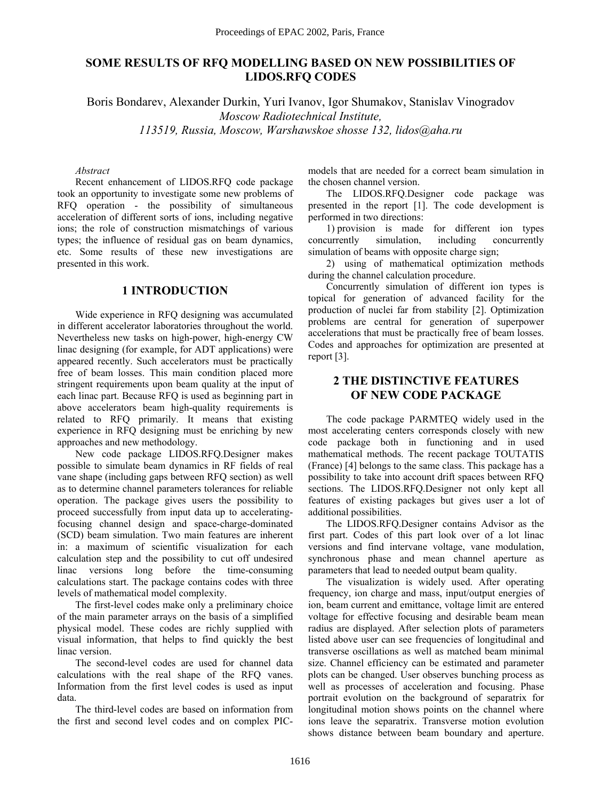# **SOME RESULTS OF RFQ MODELLING BASED ON NEW POSSIBILITIES OF LIDOS.RFQ CODES**

Boris Bondarev, Alexander Durkin, Yuri Ivanov, Igor Shumakov, Stanislav Vinogradov *Moscow Radiotechnical Institute, 113519, Russia, Moscow, Warshawskoe shosse 132, lidos@aha.ru* 

#### *Abstract*

Recent enhancement of LIDOS.RFQ code package took an opportunity to investigate some new problems of RFQ operation - the possibility of simultaneous acceleration of different sorts of ions, including negative ions; the role of construction mismatchings of various types; the influence of residual gas on beam dynamics, etc. Some results of these new investigations are presented in this work.

### **1 INTRODUCTION**

Wide experience in RFQ designing was accumulated in different accelerator laboratories throughout the world. Nevertheless new tasks on high-power, high-energy CW linac designing (for example, for ADT applications) were appeared recently. Such accelerators must be practically free of beam losses. This main condition placed more stringent requirements upon beam quality at the input of each linac part. Because RFQ is used as beginning part in above accelerators beam high-quality requirements is related to RFQ primarily. It means that existing experience in RFQ designing must be enriching by new approaches and new methodology.

New code package LIDOS.RFQ.Designer makes possible to simulate beam dynamics in RF fields of real vane shape (including gaps between RFQ section) as well as to determine channel parameters tolerances for reliable operation. The package gives users the possibility to proceed successfully from input data up to acceleratingfocusing channel design and space-charge-dominated (SCD) beam simulation. Two main features are inherent in: a maximum of scientific visualization for each calculation step and the possibility to cut off undesired linac versions long before the time-consuming calculations start. The package contains codes with three levels of mathematical model complexity.

The first-level codes make only a preliminary choice of the main parameter arrays on the basis of a simplified physical model. These codes are richly supplied with visual information, that helps to find quickly the best linac version.

The second-level codes are used for channel data calculations with the real shape of the RFQ vanes. Information from the first level codes is used as input data.

The third-level codes are based on information from the first and second level codes and on complex PIC- models that are needed for a correct beam simulation in the chosen channel version.

The LIDOS.RFQ.Designer code package was presented in the report [1]. The code development is performed in two directions:

1) provision is made for different ion types concurrently simulation, including concurrently simulation of beams with opposite charge sign;

2) using of mathematical optimization methods during the channel calculation procedure.

Concurrently simulation of different ion types is topical for generation of advanced facility for the production of nuclei far from stability [2]. Optimization problems are central for generation of superpower accelerations that must be practically free of beam losses. Codes and approaches for optimization are presented at report [3].

# **2 THE DISTINCTIVE FEATURES OF NEW CODE PACKAGE**

The code package PARMTEQ widely used in the most accelerating centers corresponds closely with new code package both in functioning and in used mathematical methods. The recent package TOUTATIS (France) [4] belongs to the same class. This package has a possibility to take into account drift spaces between RFQ sections. The LIDOS.RFQ.Designer not only kept all features of existing packages but gives user a lot of additional possibilities.

The LIDOS.RFQ.Designer contains Advisor as the first part. Codes of this part look over of a lot linac versions and find intervane voltage, vane modulation, synchronous phase and mean channel aperture as parameters that lead to needed output beam quality.

The visualization is widely used. After operating frequency, ion charge and mass, input/output energies of ion, beam current and emittance, voltage limit are entered voltage for effective focusing and desirable beam mean radius are displayed. After selection plots of parameters listed above user can see frequencies of longitudinal and transverse oscillations as well as matched beam minimal size. Channel efficiency can be estimated and parameter plots can be changed. User observes bunching process as well as processes of acceleration and focusing. Phase portrait evolution on the background of separatrix for longitudinal motion shows points on the channel where ions leave the separatrix. Transverse motion evolution shows distance between beam boundary and aperture.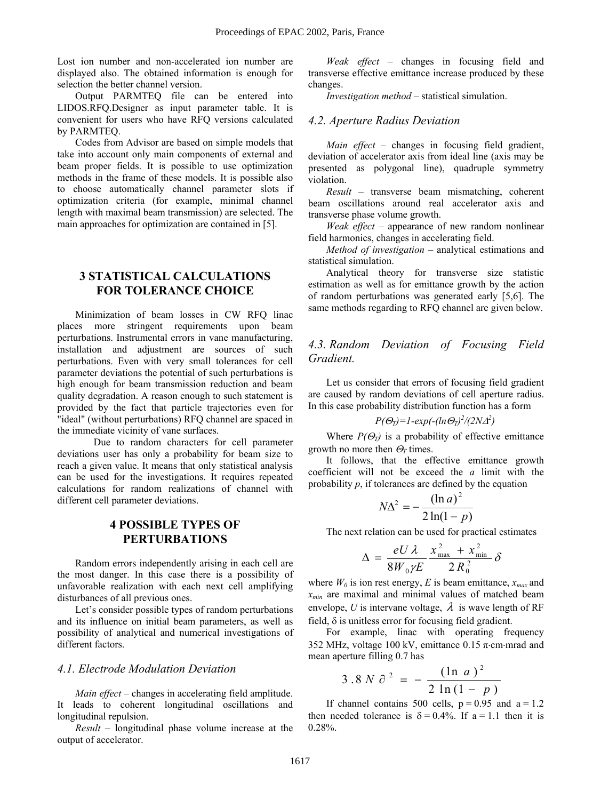Lost ion number and non-accelerated ion number are displayed also. The obtained information is enough for selection the better channel version.

Output PARMTEQ file can be entered into LIDOS.RFQ.Designer as input parameter table. It is convenient for users who have RFQ versions calculated by PARMTEQ.

Codes from Advisor are based on simple models that take into account only main components of external and beam proper fields. It is possible to use optimization methods in the frame of these models. It is possible also to choose automatically channel parameter slots if optimization criteria (for example, minimal channel length with maximal beam transmission) are selected. The main approaches for optimization are contained in [5].

# **3 STATISTICAL CALCULATIONS FOR TOLERANCE CHOICE**

Minimization of beam losses in CW RFQ linac places more stringent requirements upon beam perturbations. Instrumental errors in vane manufacturing, installation and adjustment are sources of such perturbations. Even with very small tolerances for cell parameter deviations the potential of such perturbations is high enough for beam transmission reduction and beam quality degradation. A reason enough to such statement is provided by the fact that particle trajectories even for "ideal" (without perturbations) RFQ channel are spaced in the immediate vicinity of vane surfaces.

 Due to random characters for cell parameter deviations user has only a probability for beam size to reach a given value. It means that only statistical analysis can be used for the investigations. It requires repeated calculations for random realizations of channel with different cell parameter deviations.

### **4 POSSIBLE TYPES OF PERTURBATIONS**

Random errors independently arising in each cell are the most danger. In this case there is a possibility of unfavorable realization with each next cell amplifying disturbances of all previous ones.

Let's consider possible types of random perturbations and its influence on initial beam parameters, as well as possibility of analytical and numerical investigations of different factors.

### *4.1. Electrode Modulation Deviation*

*Main effect* – changes in accelerating field amplitude. It leads to coherent longitudinal oscillations and longitudinal repulsion.

 $Result - longitudinal phase volume increase at the$ output of accelerator.

*Weak effect* – changes in focusing field and transverse effective emittance increase produced by these changes.

*Investigation method* – statistical simulation.

#### *4.2. Aperture Radius Deviation*

*Main effect*  $-$  changes in focusing field gradient, deviation of accelerator axis from ideal line (axis may be presented as polygonal line), quadruple symmetry violation.

 $Result$  – transverse beam mismatching, coherent beam oscillations around real accelerator axis and transverse phase volume growth.

*Weak effect* – appearance of new random nonlinear field harmonics, changes in accelerating field.

*Method of investigation* – analytical estimations and statistical simulation.

Analytical theory for transverse size statistic estimation as well as for emittance growth by the action of random perturbations was generated early [5,6]. The same methods regarding to RFQ channel are given below.

# *4.3. Random Deviation of Focusing Field Gradient.*

Let us consider that errors of focusing field gradient are caused by random deviations of cell aperture radius. In this case probability distribution function has a form

$$
P(\Theta_T) = 1-\exp(-(ln \Theta_T)^2/(2N\Delta^2)
$$

Where  $P(\Theta_T)$  is a probability of effective emittance growth no more then  $\Theta_T$  times.

It follows, that the effective emittance growth coefficient will not be exceed the *a* limit with the probability *p*, if tolerances are defined by the equation

$$
N\Delta^2 = -\frac{(\ln a)^2}{2\ln(1-p)}
$$

The next relation can be used for practical estimates

$$
\Delta = \frac{eU \lambda}{8W_0 \gamma E} \frac{x_{\text{max}}^2 + x_{\text{min}}^2}{2R_0^2} \delta
$$

where  $W_0$  is ion rest energy, E is beam emittance,  $x_{max}$  and *xmin* are maximal and minimal values of matched beam envelope, *U* is intervane voltage,  $\lambda$  is wave length of RF field,  $\delta$  is unitless error for focusing field gradient.

For example, linac with operating frequency 352 MHz, voltage 100 kV, emittance 0.15  $\pi$ ⋅cm⋅mrad and mean aperture filling 0.7 has

$$
3.8 N \partial^{2} = - \frac{(\ln a)^{2}}{2 \ln (1-p)}
$$

If channel contains 500 cells,  $p = 0.95$  and  $a = 1.2$ then needed tolerance is  $\delta = 0.4\%$ . If a = 1.1 then it is 0.28%.